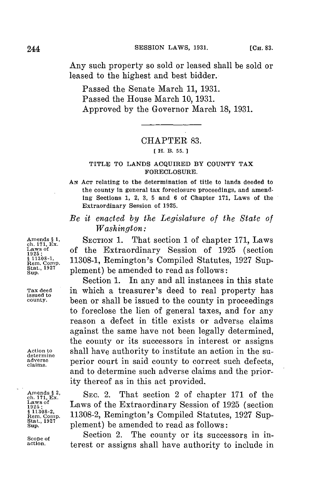Any such property so sold or leased shall be sold or leased to the highest and best bidder.

Passed the Senate March **11, 1931.** Passed the House March **10, 1931.** Approved **by** the Governor March **18, 1931.**

## CHAPTER **83.**

### **[ H. B. 55. 1**

### **TITLE TO LANDS ACQUIRED BY COUNTY TAX FORECLOSURE.**

**AN ACT relating to the determination of title to lands deeded to the county in general tax foreclosure proceedings, and amending Sections 1, 2, 3, 5 and 6 of Chapter 171, Laws of the Extraordinary Session of 1925.**

# *Be it enacted by the Legislature of the State of Washington:*

Amends § 1. SECTION 1. That section 1 of chapter 171, Laws<br>
Laws of the Extraordinary Session of 1925 (section Laws of **of the Extraordinary Session of 1925** (section  $\frac{1925}{84}$  11308-1, Remington's Compiled Statutes, 1927 Sup-;em.C **11308-1,** Remington's Compiled Statutes, **1927** Sup-**<sup>1927</sup>**plement) **be** amended to read as follows:

Section **1.** In any and all instances in this state **Tax deed** in which a treasurer's deed to real property has **issued to county.** been or shall be issued to the county in proceedings to foreclose the lien of general taxes, and for any reason a defect in title exists or adverse claims against the same have not been legally determined, the county or its successors in interest or assigns Action to shall have authority to institute an action in the su-<br>determine some part in said county to correct such defects adverse **perior** court in said county to correct such defects, and to determine such adverse claims and the priority thereof as in this act provided.

Amends § 2,<br>
ch. 171, Ex.<br>
Laws of the Extraordinary Session of 1925 (section<br>
<sup>1925</sup>;<br>
<sup>§ 11308-2,<br>
11308-2 Reminston's Compiled Statutes 1997 Sup</sup> Laws of the Extraordinary Session of 1925 (section Rem. Comp. 11308-2, Remington's Compiled Statutes, 1927 Sup-<br>
Stat., 1927<br>
Sup. plement) be amended to read as follows: plement) be amended to read as follows:

Scope of **Section 2.** The county or its successors in in-<br>action **b** to provide a scrippe shall have outhority to include in **action.** terest or assigns shall have authority to include in

Sup.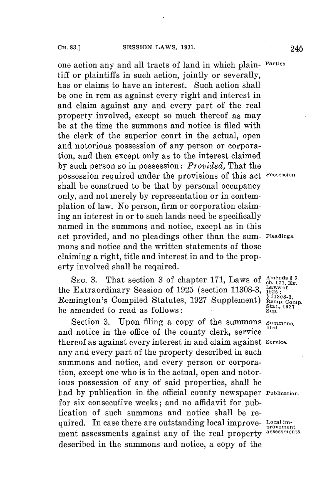one action any and all tracts of land in which plain- **Parties** tiff or plaintiffs in such action, jointly or severally, has or claims to have an interest. Such action shall be one in rem as against every right and interest in and claim against any and every part of the real property involved, except so much thereof as may be at the time the summons and notice is filed with the clerk of the superior court in the actual, open and notorious possession of any person or corporation, and then except only as to the interest claimed **by** such person so in possession: *Provided,* That the possession required under the provisions of this act **Possession.** shall be construed to be that **by** personal occupancy only, and not merely **by** representation or in contemplation of law. No person, firm or corporation claiming an interest in or to such lands need be specifically named in the summons and notice, except as in this act provided, and no pleadings other than the sum- **Pleadings**mons and notice and the written statements of those claiming a right, title and interest in and to the property involved shall be required.

SEC. 3. That section 3 of chapter 171, Laws of  $\frac{\text{Amends }3, \text{ }}{\text{ch.}171, \text{ Lx}}$ the Extraordinary Session of 1925 (section 11308-3, <sup>Laws of</sup> Remington's Compiled Statutes, 1927 Supplement)  $\frac{\$11308-3}{\$cm}_{\text{comp. Comp.}}$ be amended to read as follows: Stat.

Section 3. Upon filing a copy of the summons *Summons*, and notice in the office of the county clerk, service thereof as against every interest in and claim against **Service.** any and every part of the property described in such summons and notice, and every person or corporation, except one who is in the actual, open and notorious possession of any of said properties, shall be had **by** publication in the official county newspaper **Publication.** for six consecutive weeks; and no affidavit for publication of such summons and notice shall be required. In case there are outstanding local improve- **Local im**ment assessments against any of the real property **assessments.** described in the summons and notice, a copy of the

provement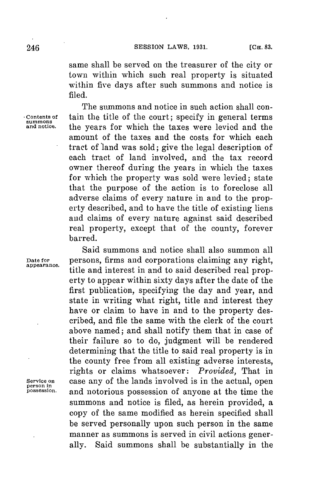same shall be served on the treasurer of the city or town within which such real property is situated within five days after such summons and notice is filed.

The summons and notice in such action shall con-**Contents of** tain the title of the court; specify in general terms **summons and notice.** the years for which the taxes were levied and the amount of the taxes and the costs for which each tract of land was sold; give the legal description of each tract of land involved, and the tax record owner thereof during the years in which the taxes for which the property was sold were levied; state that the purpose of the action is to foreclose all adverse claims of every nature in and to the property described, and to have the title of existing liens and claims of every nature against said described real property, except that of the county, forever barred.

Said summons and notice shall also summon all persons, firms and corporations claiming any right. **Date for** persons, firms and corporations claiming any right, **appearance.** title and interest in and to said described real property to appear within sixty days after the date of the first publication, specifying the day and year, and state in writing what right, title and interest they have or claim to have in and to the property described, and file the same with the clerk of the court above named; and shall notify them that in case of their failure so to do, judgment will be rendered determining that the title to said real property is in the county free from all existing adverse interests, rights or claims whatsoever: *Provided,* That in Service on **case any of the lands involved is in the actual, open** person in **case 30** and **person person** in the time the person person in the set of  $P$ **possession** and notorious possession of anyone at the time the summons and notice is filed, as herein provided, a copy of the same modified as herein specified shall be served personally upon such person in the same manner as summons is served in civil actions generally. Said summons shall be substantially in the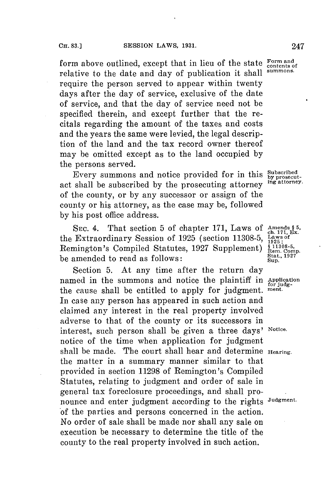form above outlined, except that in lieu of the state Form and relative to the date and day of publication it shall **summons.** require the person served to appear within twenty days after the day of service, exclusive of the date of service, and that the day of service need not be specified therein, and except further that the recitals regarding the amount of the taxes and costs and the years the same were levied, the legal description of the land and the tax record owner thereof may be omitted except as to the land occupied **by** the persons served.

Every summons and notice provided for in this **Subscribed**<br>shall be subscribed by the prosecuting attorney ing attorney. act shall be subscribed **by** the prosecuting attorney **ing attorney.** of the county, or **by** any successor or assign of the county or his attorney, as the case may be, followed **by** his post office address.

SEC. 4. That section 5 of chapter 171, Laws of Amends § 5.<br> **Extraordinary Session of 1925** (section 11308 5 Laws of the Extraordinary Session of 1925 (section 11308-5, Laws of<br>Remington's Compiled Statutes, 1927 Supplement)  $\frac{\S 113085}{\text{Rem. Comp.}}$ **Remington's Compiled Statutes, 1927 Supplement) Stat., 1927** be amended to read as follows: **Sup.,**

Section **5.** At any time after the return day named in the summons and notice the plaintiff in Application the cause shall be entitled to apply for judgment. **ment.** In case any person has appeared in such action and claimed any interest in the real property involved adverse to that of the county or its successors in interest, such person shall be given a three days' **Notice.** notice of the time when application for judgment shall be made. The court shall hear and determine **Hearing.** the matter in a summary manner similar to that provided in section **11298** of Remington's Compiled Statutes, relating to judgment and order of sale in general tax foreclosure proceedings, and shall pronounce and enter judgment according to the rights **Judgment.** of the parties and persons concerned in the action. No order of sale shall be made nor shall any sale on execution be necessary to determine the title of the county to the real property involved in such action.

**1925;**